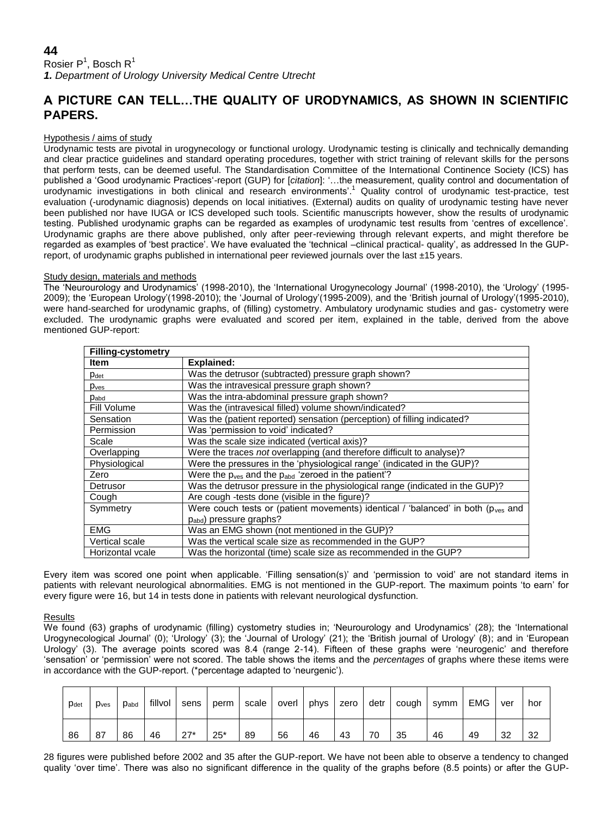# **44**

Rosier P<sup>1</sup>, Bosch R<sup>1</sup> *1. Department of Urology University Medical Centre Utrecht*

# **A PICTURE CAN TELL…THE QUALITY OF URODYNAMICS, AS SHOWN IN SCIENTIFIC PAPERS.**

## Hypothesis / aims of study

Urodynamic tests are pivotal in urogynecology or functional urology. Urodynamic testing is clinically and technically demanding and clear practice guidelines and standard operating procedures, together with strict training of relevant skills for the persons that perform tests, can be deemed useful. The Standardisation Committee of the International Continence Society (ICS) has published a 'Good urodynamic Practices'-report (GUP) for [*citation*]: '…the measurement, quality control and documentation of urodynamic investigations in both clinical and research environments'.<sup>1</sup> Quality control of urodynamic test-practice, test evaluation (-urodynamic diagnosis) depends on local initiatives. (External) audits on quality of urodynamic testing have never been published nor have IUGA or ICS developed such tools. Scientific manuscripts however, show the results of urodynamic testing. Published urodynamic graphs can be regarded as examples of urodynamic test results from 'centres of excellence'. Urodynamic graphs are there above published, only after peer-reviewing through relevant experts, and might therefore be regarded as examples of 'best practice'. We have evaluated the 'technical –clinical practical- quality', as addressed In the GUPreport, of urodynamic graphs published in international peer reviewed journals over the last ±15 years.

### Study design, materials and methods

The 'Neurourology and Urodynamics' (1998-2010), the 'International Urogynecology Journal' (1998-2010), the 'Urology' (1995- 2009); the 'European Urology'(1998-2010); the 'Journal of Urology'(1995-2009), and the 'British journal of Urology'(1995-2010), were hand-searched for urodynamic graphs, of (filling) cystometry. Ambulatory urodynamic studies and gas- cystometry were excluded. The urodynamic graphs were evaluated and scored per item, explained in the table, derived from the above mentioned GUP-report:

| <b>Filling-cystometry</b> |                                                                                               |  |  |  |  |  |
|---------------------------|-----------------------------------------------------------------------------------------------|--|--|--|--|--|
| Item                      | <b>Explained:</b>                                                                             |  |  |  |  |  |
| Pdet                      | Was the detrusor (subtracted) pressure graph shown?                                           |  |  |  |  |  |
| p <sub>ves</sub>          | Was the intravesical pressure graph shown?                                                    |  |  |  |  |  |
| $p_{abd}$                 | Was the intra-abdominal pressure graph shown?                                                 |  |  |  |  |  |
| Fill Volume               | Was the (intravesical filled) volume shown/indicated?                                         |  |  |  |  |  |
| Sensation                 | Was the (patient reported) sensation (perception) of filling indicated?                       |  |  |  |  |  |
| Permission                | Was 'permission to void' indicated?                                                           |  |  |  |  |  |
| Scale                     | Was the scale size indicated (vertical axis)?                                                 |  |  |  |  |  |
| Overlapping               | Were the traces not overlapping (and therefore difficult to analyse)?                         |  |  |  |  |  |
| Physiological             | Were the pressures in the 'physiological range' (indicated in the GUP)?                       |  |  |  |  |  |
| Zero                      | Were the p <sub>ves</sub> and the p <sub>abd</sub> 'zeroed in the patient'?                   |  |  |  |  |  |
| Detrusor                  | Was the detrusor pressure in the physiological range (indicated in the GUP)?                  |  |  |  |  |  |
| Cough                     | Are cough -tests done (visible in the figure)?                                                |  |  |  |  |  |
| Symmetry                  | Were couch tests or (patient movements) identical / 'balanced' in both ( $p_{\text{ves}}$ and |  |  |  |  |  |
|                           | $p_{abd}$ ) pressure graphs?                                                                  |  |  |  |  |  |
| <b>EMG</b>                | Was an EMG shown (not mentioned in the GUP)?                                                  |  |  |  |  |  |
| Vertical scale            | Was the vertical scale size as recommended in the GUP?                                        |  |  |  |  |  |
| Horizontal vcale          | Was the horizontal (time) scale size as recommended in the GUP?                               |  |  |  |  |  |

Every item was scored one point when applicable. 'Filling sensation(s)' and 'permission to void' are not standard items in patients with relevant neurological abnormalities. EMG is not mentioned in the GUP-report. The maximum points 'to earn' for every figure were 16, but 14 in tests done in patients with relevant neurological dysfunction.

# Results

We found (63) graphs of urodynamic (filling) cystometry studies in; 'Neurourology and Urodynamics' (28); the 'International Urogynecological Journal' (0); 'Urology' (3); the 'Journal of Urology' (21); the 'British journal of Urology' (8); and in 'European Urology' (3). The average points scored was 8.4 (range 2-14). Fifteen of these graphs were 'neurogenic' and therefore 'sensation' or 'permission' were not scored. The table shows the items and the *percentages* of graphs where these items were in accordance with the GUP-report. (\*percentage adapted to 'neurgenic').

| Pdet | p <sub>ves</sub> | $p_{abd}$ | fillvol | sens                | perm  | scale | overl | phys | zero | detr | cough | symm | <b>EMG</b> | ver | hor |
|------|------------------|-----------|---------|---------------------|-------|-------|-------|------|------|------|-------|------|------------|-----|-----|
| 86   | 87               | 86        | 46      | $27*$<br>$\epsilon$ | $25*$ | 89    | 56    | 46   | 43   | 70   | 35    | 46   | 49         | 32  | 32  |

28 figures were published before 2002 and 35 after the GUP-report. We have not been able to observe a tendency to changed quality 'over time'. There was also no significant difference in the quality of the graphs before (8.5 points) or after the GUP-